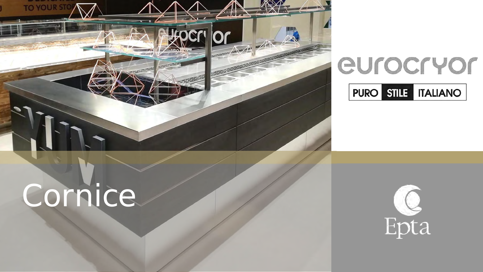

# eurocryor **PURO STILE | ITALIANO**

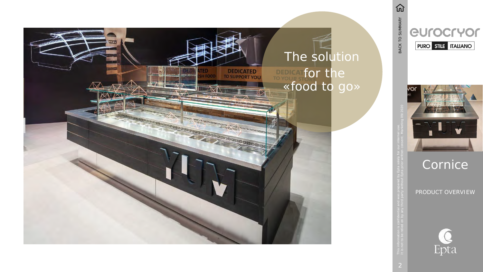PRODUCT OVERVIEW



<span id="page-1-0"></span>

# The solution for the «food to go»

 $\widehat{\mathbf{u}}$ BACK TO SUMMARY It is not to be relied on by any third party without Epta prior written consent. Marketing 09/2020<br>It is not to be relied on by any third party without Epta prior written consent. Marketing 09/2020



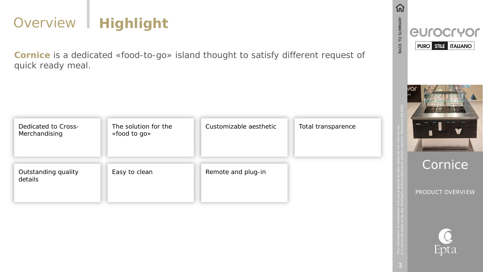PRODUCT OVERVIEW





# Overview | Highlight

**Cornice** is a dedicated «food-to-go» island thought to satisfy different request of quick ready meal.

| Dedicated to Cross-<br>Merchandising | The solution for the<br>«food to go» | Customizable aesthetic |
|--------------------------------------|--------------------------------------|------------------------|
| Outstanding quality<br>details       | Easy to clean                        | Remote and plug-in     |



仞 BACK TO SUMMARY eurocryor  $|PURO|$  stille Italiano $|$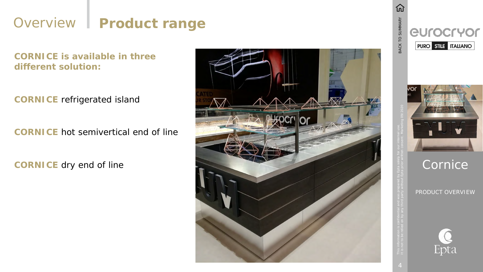PRODUCT OVERVIEW





## Overview | Product range

**CORNICE is available in three different solution:**

**CORNICE** refrigerated island

**CORNICE** hot semivertical end of line

**CORNICE** dry end of line



仞 **BACK TO SUMMARY** eurocryor  $\sqrt{\mathsf{PURO}}$  still $\frac{1}{2}$  italiano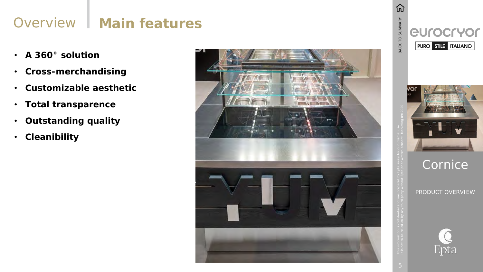PRODUCT OVERVIEW





# Overview | Main features

- **A 360 ° solution**
- **Cross -merchandising**
- **Customizable aesthetic**
- **Total transparence**
- **Outstanding quality**
- **Cleanibility**



仞 BACK TO SUMMARY eurocryor  $\sqrt{\mathsf{P U R O}}$  still traliano